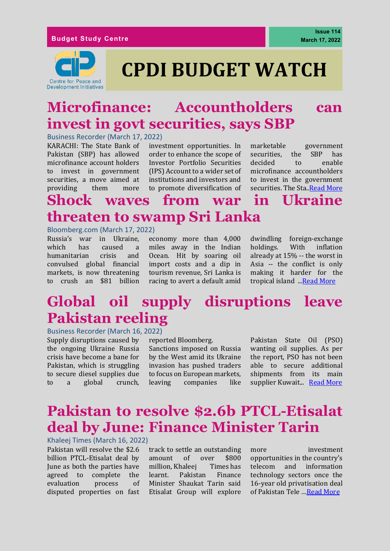

# **CPDI BUDGET WATCH**

# **Microfinance: Accountholders can invest in govt securities, says SBP**

Business Recorder (March 17, 2022)

KARACHI: The State Bank of Pakistan (SBP) has allowed microfinance account holders to invest in government securities, a move aimed at providing them more

investment opportunities. In order to enhance the scope of Investor Portfolio Securities (IPS) Account to a wider set of institutions and investors and to promote diversification of

marketable government securities, the SBP has decided to enable microfinance accountholders to invest in the government securities. The Sta[..Read More](https://www.brecorder.com/news/40161306/microfinance-accountholders-can-invest-in-govt-securities-says-sbp)

# **Shock waves from war in Ukraine threaten to swamp Sri Lanka**

#### Bloomberg.com (March 17, 2022)

Russia's war in Ukraine, which has caused a humanitarian crisis and convulsed global financial markets, is now threatening to crush an \$81 billion

economy more than 4,000 miles away in the Indian Ocean. Hit by soaring oil import costs and a dip in tourism revenue, Sri Lanka is racing to avert a default amid

dwindling foreign-exchange holdings. With inflation already at 15% -- the worst in Asia -- the conflict is only making it harder for the tropical island Read More

# **Global oil supply disruptions leave Pakistan reeling**

Business Recorder (March 16, 2022)

Supply disruptions caused by the ongoing Ukraine Russia crisis have become a bane for Pakistan, which is struggling to secure diesel supplies due to a global crunch, reported Bloomberg.

Sanctions imposed on Russia by the West amid its Ukraine invasion has pushed traders to focus on European markets, leaving companies like

Pakistan State Oil (PSO) wanting oil supplies. As per the report, PSO has not been able to secure additional shipments from its main supplier Kuwait... [Read More](https://www.brecorder.com/news/40161102/global-oil-supply-disruptions-leave-pakistan-reeling)

# **Pakistan to resolve \$2.6b PTCL-Etisalat deal by June: Finance Minister Tarin**

Khaleej Times (March 16, 2022)

Pakistan will resolve the \$2.6 billion PTCL-Etisalat deal by June as both the parties have agreed to complete the evaluation process of disputed properties on fast

track to settle an outstanding amount of over \$800 million, Khaleej Times has learnt. Pakistan Finance Minister Shaukat Tarin said Etisalat Group will explore more investment opportunities in the country's telecom and information technology sectors once the 16-year old privatisation deal of Pakistan Tele …[Read More](https://www.khaleejtimes.com/telecom/pakistan-to-resolve-2-6b-ptcl-etisalat-deal-by-june-finance-minister-tarin)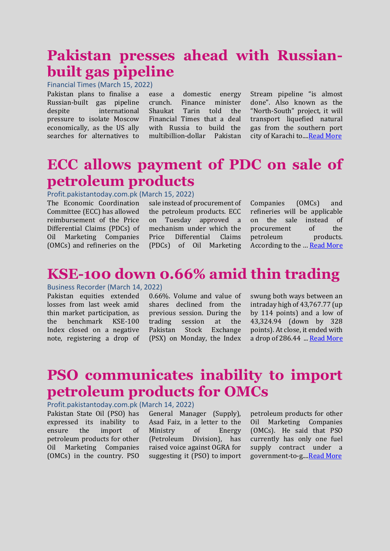### **Pakistan presses ahead with Russianbuilt gas pipeline**

Financial Times (March 15, 2022)

Pakistan plans to finalise a Russian-built gas pipeline despite international pressure to isolate Moscow economically, as the US ally searches for alternatives to

ease a domestic energy crunch. Finance minister Shaukat Tarin told the Financial Times that a deal with Russia to build the multibillion-dollar Pakistan

Stream pipeline "is almost done". Also known as the "North-South" project, it will transport liquefied natural gas from the southern port city of Karachi to..[..Read More](https://www.ft.com/content/9294890a-593c-442b-bc53-13099d14d36f)

### **ECC allows payment of PDC on sale of petroleum products**

### Profit.pakistantoday.com.pk (March 15, 2022)

The Economic Coordination Committee (ECC) has allowed reimbursement of the Price Differential Claims (PDCs) of Oil Marketing Companies (OMCs) and refineries on the sale instead of procurement of the petroleum products. ECC on Tuesday approved a mechanism under which the Price Differential Claims (PDCs) of Oil Marketing

Companies (OMCs) and refineries will be applicable on the sale instead of procurement of the petroleum products. According to the … [Read More](https://profit.pakistantoday.com.pk/2022/03/15/ecc-to-approve-pdc-on-sales-of-petroleum-products/)

### **KSE-100 down 0.66% amid thin trading**

### Business Recorder (March 14, 2022)

Pakistan equities extended losses from last week amid thin market participation, as the benchmark KSE-100 Index closed on a negative note, registering a drop of

0.66%. Volume and value of shares declined from the previous session. During the trading session at the Pakistan Stock Exchange (PSX) on Monday, the Index swung both ways between an intraday high of 43,767.77 (up by 114 points) and a low of 43,324.94 (down by 328 points). At close, it ended with a drop of 286.44 ... [Read More](https://www.brecorder.com/news/40160616/kse-100-down-066-amid-thin-trading)

### **PSO communicates inability to import petroleum products for OMCs**

### Profit.pakistantoday.com.pk (March 14, 2022)

Pakistan State Oil (PSO) has expressed its inability to ensure the import of petroleum products for other Oil Marketing Companies (OMCs) in the country. PSO

General Manager (Supply), Asad Faiz, in a letter to the Ministry of Energy (Petroleum Division), has raised voice against OGRA for suggesting it (PSO) to import petroleum products for other Oil Marketing Companies (OMCs). He said that PSO currently has only one fuel supply contract under a government-to-g..[..Read More](https://profit.pakistantoday.com.pk/2022/03/14/pso-communicates-inability-to-import-petroleum-products-for-omcs/)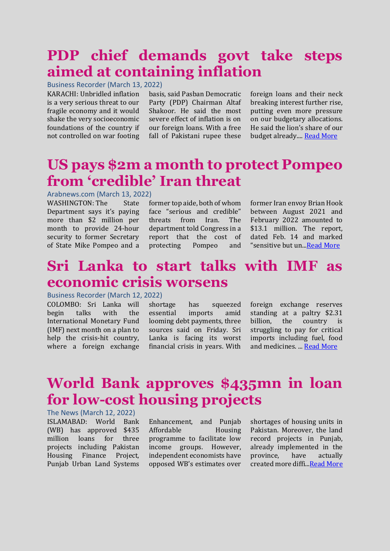# **PDP chief demands govt take steps aimed at containing inflation**

Business Recorder (March 13, 2022)

KARACHI: Unbridled inflation is a very serious threat to our fragile economy and it would shake the very socioeconomic foundations of the country if not controlled on war footing

basis, said Pasban Democratic Party (PDP) Chairman Altaf Shakoor. He said the most severe effect of inflation is on our foreign loans. With a free fall of Pakistani rupee these

foreign loans and their neck breaking interest further rise, putting even more pressure on our budgetary allocations. He said the lion's share of our budget already...[. Read More](https://www.brecorder.com/news/40160522)

### **US pays \$2m a month to protect Pompeo from 'credible' Iran threat**

Arabnews.com (March 13, 2022)

WASHINGTON: The State Department says it's paying more than \$2 million per month to provide 24-hour security to former Secretary of State Mike Pompeo and a former top aide, both of whom face "serious and credible" threats from Iran. The department told Congress in a report that the cost of protecting Pompeo and

former Iran envoy Brian Hook between August 2021 and February 2022 amounted to \$13.1 million. The report, dated Feb. 14 and marked "sensitive but un.[..Read More](https://www.arabnews.com/node/2041381/world)

### **Sri Lanka to start talks with IMF as economic crisis worsens**

Business Recorder (March 12, 2022)

COLOMBO: Sri Lanka will begin talks with the International Monetary Fund (IMF) next month on a plan to help the crisis-hit country, where a foreign exchange shortage has squeezed essential imports amid looming debt payments, three sources said on Friday. Sri Lanka is facing its worst financial crisis in years. With foreign exchange reserves standing at a paltry \$2.31 billion, the country is struggling to pay for critical imports including fuel, food and medicines. ... [Read More](https://www.brecorder.com/news/40160181/sri-lanka-to-start-talks-with-imf-as-economic-crisis-worsens)

# **World Bank approves \$435mn in loan for low-cost housing projects**

### The News (March 12, 2022)

ISLAMABAD: World Bank (WB) has approved \$435 million loans for three projects including Pakistan Housing Finance Project, Punjab Urban Land Systems

Enhancement, and Punjab Affordable Housing programme to facilitate low income groups. However, independent economists have opposed WB's estimates over shortages of housing units in Pakistan. Moreover, the land record projects in Punjab, already implemented in the province, have actually created more diffi..[.Read More](https://www.thenews.com.pk/print/940684-world-bank-approves-435mn-in-loan-for-low-cost-housing-projects)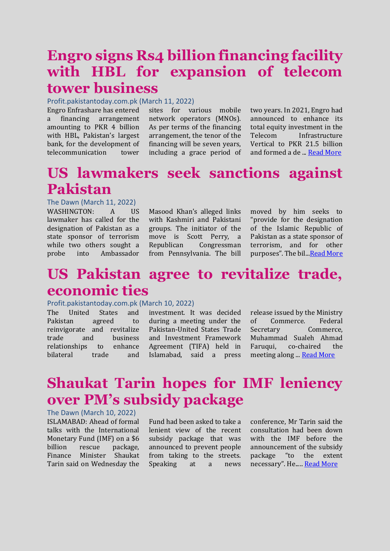### **Engro signs Rs4 billion financing facility with HBL for expansion of telecom tower business**

Profit.pakistantoday.com.pk (March 11, 2022)

Engro Enfrashare has entered a financing arrangement amounting to PKR 4 billion with HBL, Pakistan's largest bank, for the development of telecommunication tower

sites for various mobile network operators (MNOs). As per terms of the financing arrangement, the tenor of the financing will be seven years, including a grace period of two years. In 2021, Engro had announced to enhance its total equity investment in the Telecom Infrastructure Vertical to PKR 21.5 billion and formed a de ... [Read More](https://profit.pakistantoday.com.pk/2022/03/11/engro-signs-rs4-billion-financing-facility-with-hbl-for-expansion-of-telecom-tower-business/)

# **US lawmakers seek sanctions against Pakistan**

The Dawn (March 11, 2022) WASHINGTON: A US lawmaker has called for the designation of Pakistan as a state sponsor of terrorism while two others sought a probe into Ambassador

Masood Khan's alleged links with Kashmiri and Pakistani groups. The initiator of the move is Scott Perry, a Republican Congressman from Pennsylvania. The bill moved by him seeks to "provide for the designation of the Islamic Republic of Pakistan as a state sponsor of terrorism, and for other purposes". The bil... Read More

### **US Pakistan agree to revitalize trade, economic ties**

### Profit.pakistantoday.com.pk (March 10, 2022)

The United States and Pakistan agreed to reinvigorate and revitalize trade and business relationships to enhance bilateral trade and

investment. It was decided during a meeting under the Pakistan-United States Trade and Investment Framework Agreement (TIFA) held in Islamabad, said a press release issued by the Ministry of Commerce. Federal Secretary Commerce, Muhammad Sualeh Ahmad Faruqui, co-chaired the meeting along ..[. Read More](https://profit.pakistantoday.com.pk/2022/03/10/us-pakistan-agree-to-revitalize-trade-economic-ties/)

# **Shaukat Tarin hopes for IMF leniency over PM's subsidy package**

### The Dawn (March 10, 2022)

ISLAMABAD: Ahead of formal talks with the International Monetary Fund (IMF) on a \$6 billion rescue package, Finance Minister Shaukat Tarin said on Wednesday the

Fund had been asked to take a lenient view of the recent subsidy package that was announced to prevent people from taking to the streets. Speaking at a news

conference, Mr Tarin said the consultation had been down with the IMF before the announcement of the subsidy package "to the extent necessary". He..... [Read More](https://www.dawn.com/news/1679234)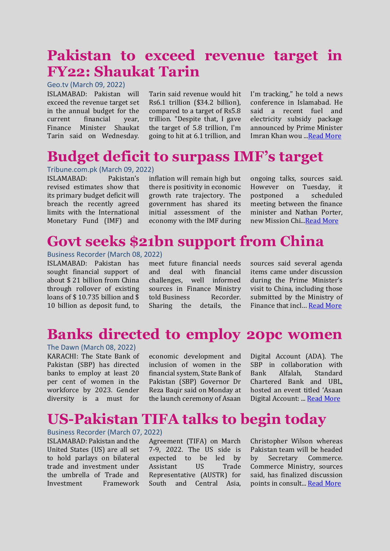### **Pakistan to exceed revenue target in FY22: Shaukat Tarin**

Geo.tv (March 09, 2022)

ISLAMABAD: Pakistan will exceed the revenue target set in the annual budget for the current financial year, Finance Minister Shaukat Tarin said on Wednesday.

Tarin said revenue would hit Rs6.1 trillion (\$34.2 billion), compared to a target of Rs5.8 trillion. "Despite that, I gave the target of 5.8 trillion, I'm going to hit at 6.1 trillion, and

I'm tracking," he told a news conference in Islamabad. He said a recent fuel and electricity subsidy package announced by Prime Minister Imran Khan wou .[..Read More](https://www.geo.tv/latest/404075-pakistan-to-exceed-revenue-target-in-fy22-shaukat-tarin)

### **Budget deficit to surpass IMF's target**

Tribune.com.pk (March 09, 2022) ISLAMABAD: Pakistan's revised estimates show that its primary budget deficit will breach the recently agreed limits with the International Monetary Fund (IMF) and

inflation will remain high but there is positivity in economic growth rate trajectory. The government has shared its initial assessment of the economy with the IMF during

ongoing talks, sources said. However on Tuesday, it postponed a scheduled meeting between the finance minister and Nathan Porter, new Mission Chi.[..Read More](https://tribune.com.pk/story/2347041/budget-deficit-to-surpass-imfs-target)

### **Govt seeks \$21bn support from China**

### Business Recorder (March 08, 2022)

ISLAMABAD: Pakistan has sought financial support of about \$ 21 billion from China through rollover of existing loans of \$ 10.735 billion and \$ 10 billion as deposit fund, to

meet future financial needs and deal with financial challenges, well informed sources in Finance Ministry told Business Recorder. Sharing the details, the

sources said several agenda items came under discussion during the Prime Minister's visit to China, including those submitted by the Ministry of Finance that incl… [Read More](https://www.brecorder.com/news/40159303)

### **Banks directed to employ 20pc women**

### The Dawn (March 08, 2022)

KARACHI: The State Bank of Pakistan (SBP) has directed banks to employ at least 20 per cent of women in the workforce by 2023. Gender diversity is a must for

economic development and inclusion of women in the financial system, State Bank of Pakistan (SBP) Governor Dr Reza Baqir said on Monday at the launch ceremony of Asaan

Digital Account (ADA). The SBP in collaboration with Bank Alfalah, Standard Chartered Bank and UBL, hosted an event titled 'Asaan Digital Account: ... [Read More](https://www.dawn.com/news/1678880)

# **US-Pakistan TIFA talks to begin today**

Business Recorder (March 07, 2022) ISLAMABAD: Pakistan and the United States (US) are all set to hold parlays on bilateral trade and investment under the umbrella of Trade and Investment Framework

Agreement (TIFA) on March 7-9, 2022. The US side is expected to be led by Assistant US Trade Representative (AUSTR) for South and Central Asia, Christopher Wilson whereas Pakistan team will be headed by Secretary Commerce. Commerce Ministry, sources said, has finalized discussion points in consult... [Read More](https://www.brecorder.com/news/40159054/us-pakistan-tifa-talks-to-begin-today)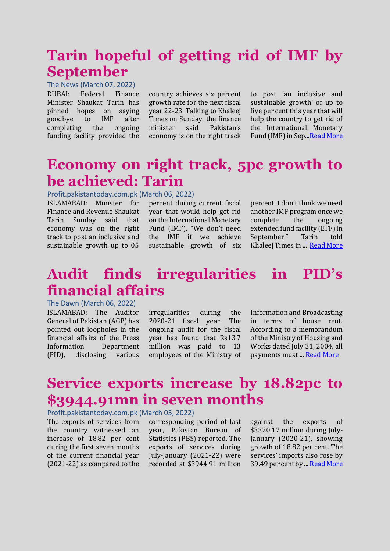# **Tarin hopeful of getting rid of IMF by September**

The News (March 07, 2022) DUBAI: Federal Finance Minister Shaukat Tarin has

pinned hopes on saying goodbye to IMF after completing the ongoing funding facility provided the

country achieves six percent growth rate for the next fiscal year 22-23. Talking to Khaleej Times on Sunday, the finance minister said Pakistan's economy is on the right track

to post 'an inclusive and sustainable growth' of up to five per cent this year that will help the country to get rid of the International Monetary Fund (IMF) in Sep..[.Read More](https://www.thenews.com.pk/print/939422-tarin-hopeful-of-getting-rid-of-imf-by-september)

### **Economy on right track, 5pc growth to be achieved: Tarin**

Profit.pakistantoday.com.pk (March 06, 2022)

ISLAMABAD: Minister for Finance and Revenue Shaukat Tarin Sunday said that economy was on the right track to post an inclusive and sustainable growth up to 05

percent during current fiscal year that would help get rid on the International Monetary Fund (IMF). "We don't need the IMF if we achieve sustainable growth of six

percent. I don't think we need another IMF program once we complete the ongoing extended fund facility (EFF) in September," Tarin told Khaleej Times in ... [Read More](https://profit.pakistantoday.com.pk/2022/03/06/economy-on-right-tack-5-percent-growth-to-be-achieved-tarin/)

## **Audit finds irregularities in PID's financial affairs**

The Dawn (March 06, 2022)

ISLAMABAD: The Auditor General of Pakistan (AGP) has pointed out loopholes in the financial affairs of the Press Information Department (PID), disclosing various

irregularities during the 2020-21 fiscal year. The ongoing audit for the fiscal year has found that Rs13.7 million was paid to 13 employees of the Ministry of Information and Broadcasting in terms of house rent. According to a memorandum of the Ministry of Housing and Works dated July 31, 2004, all payments must ... [Read More](https://www.dawn.com/news/1678506)

# **Service exports increase by 18.82pc to \$3944.91mn in seven months**

### Profit.pakistantoday.com.pk (March 05, 2022)

The exports of services from the country witnessed an increase of 18.82 per cent during the first seven months of the current financial year (2021-22) as compared to the

corresponding period of last year, Pakistan Bureau of Statistics (PBS) reported. The exports of services during July-January (2021-22) were recorded at \$3944.91 million

against the exports of \$3320.17 million during July-January (2020-21), showing growth of 18.82 per cent. The services' imports also rose by 39.49 per cent by ... [Read More](https://profit.pakistantoday.com.pk/2022/03/05/service-exports-increase-by-18-82pc-to-3944-91mn-in-seven-months/)